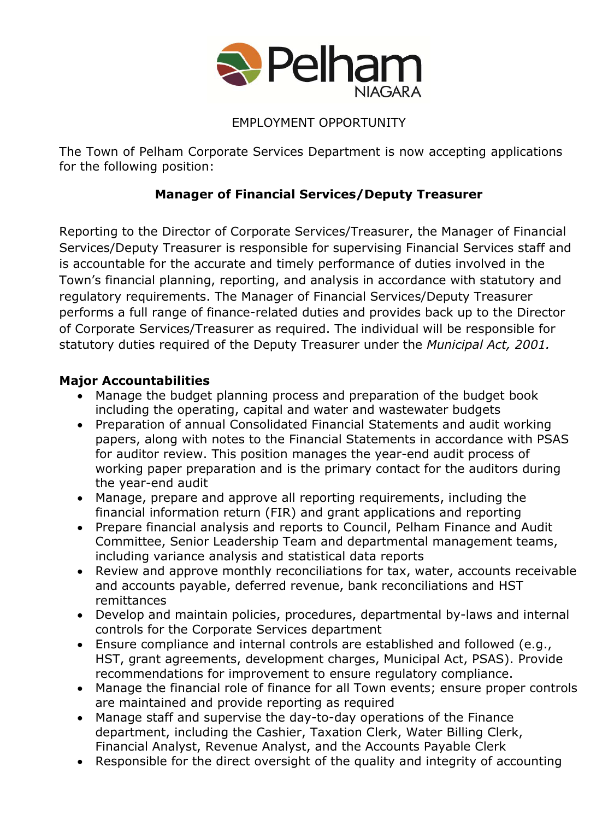

## EMPLOYMENT OPPORTUNITY

The Town of Pelham Corporate Services Department is now accepting applications for the following position:

# **Manager of Financial Services/Deputy Treasurer**

Reporting to the Director of Corporate Services/Treasurer, the Manager of Financial Services/Deputy Treasurer is responsible for supervising Financial Services staff and is accountable for the accurate and timely performance of duties involved in the Town's financial planning, reporting, and analysis in accordance with statutory and regulatory requirements. The Manager of Financial Services/Deputy Treasurer performs a full range of finance-related duties and provides back up to the Director of Corporate Services/Treasurer as required. The individual will be responsible for statutory duties required of the Deputy Treasurer under the *Municipal Act, 2001.*

### **Major Accountabilities**

- Manage the budget planning process and preparation of the budget book including the operating, capital and water and wastewater budgets
- Preparation of annual Consolidated Financial Statements and audit working papers, along with notes to the Financial Statements in accordance with PSAS for auditor review. This position manages the year-end audit process of working paper preparation and is the primary contact for the auditors during the year-end audit
- Manage, prepare and approve all reporting requirements, including the financial information return (FIR) and grant applications and reporting
- Prepare financial analysis and reports to Council, Pelham Finance and Audit Committee, Senior Leadership Team and departmental management teams, including variance analysis and statistical data reports
- Review and approve monthly reconciliations for tax, water, accounts receivable and accounts payable, deferred revenue, bank reconciliations and HST remittances
- Develop and maintain policies, procedures, departmental by-laws and internal controls for the Corporate Services department
- Ensure compliance and internal controls are established and followed (e.g., HST, grant agreements, development charges, Municipal Act, PSAS). Provide recommendations for improvement to ensure regulatory compliance.
- Manage the financial role of finance for all Town events; ensure proper controls are maintained and provide reporting as required
- Manage staff and supervise the day-to-day operations of the Finance department, including the Cashier, Taxation Clerk, Water Billing Clerk, Financial Analyst, Revenue Analyst, and the Accounts Payable Clerk
- Responsible for the direct oversight of the quality and integrity of accounting